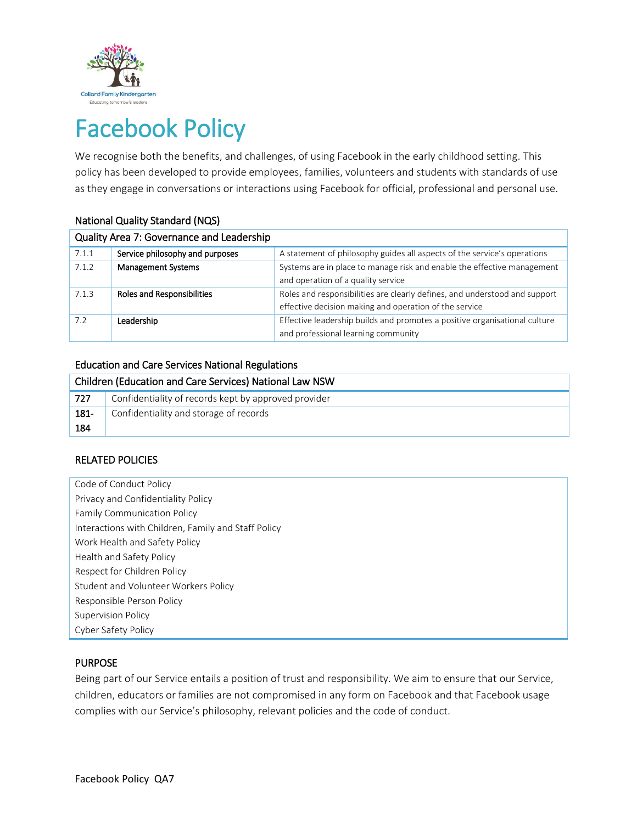

# Facebook Policy

We recognise both the benefits, and challenges, of using Facebook in the early childhood setting. This policy has been developed to provide employees, families, volunteers and students with standards of use as they engage in conversations or interactions using Facebook for official, professional and personal use.

| Quality Area 7: Governance and Leadership |                                   |                                                                                                                                      |  |  |
|-------------------------------------------|-----------------------------------|--------------------------------------------------------------------------------------------------------------------------------------|--|--|
| 7.1.1                                     | Service philosophy and purposes   | A statement of philosophy guides all aspects of the service's operations                                                             |  |  |
| 7.1.2                                     | <b>Management Systems</b>         | Systems are in place to manage risk and enable the effective management<br>and operation of a quality service                        |  |  |
| 7.1.3                                     | <b>Roles and Responsibilities</b> | Roles and responsibilities are clearly defines, and understood and support<br>effective decision making and operation of the service |  |  |
| 7.2                                       | Leadership                        | Effective leadership builds and promotes a positive organisational culture<br>and professional learning community                    |  |  |

# National Quality Standard (NQS)

#### Education and Care Services National Regulations

| Children (Education and Care Services) National Law NSW |                                                      |  |
|---------------------------------------------------------|------------------------------------------------------|--|
| 727                                                     | Confidentiality of records kept by approved provider |  |
| 181-                                                    | Confidentiality and storage of records               |  |
| 184                                                     |                                                      |  |

# RELATED POLICIES

Code of Conduct Policy Privacy and Confidentiality Policy Family Communication Policy Interactions with Children, Family and Staff Policy Work Health and Safety Policy Health and Safety Policy Respect for Children Policy Student and Volunteer Workers Policy Responsible Person Policy Supervision Policy Cyber Safety Policy

# PURPOSE

Being part of our Service entails a position of trust and responsibility. We aim to ensure that our Service, children, educators or families are not compromised in any form on Facebook and that Facebook usage complies with our Service's philosophy, relevant policies and the code of conduct.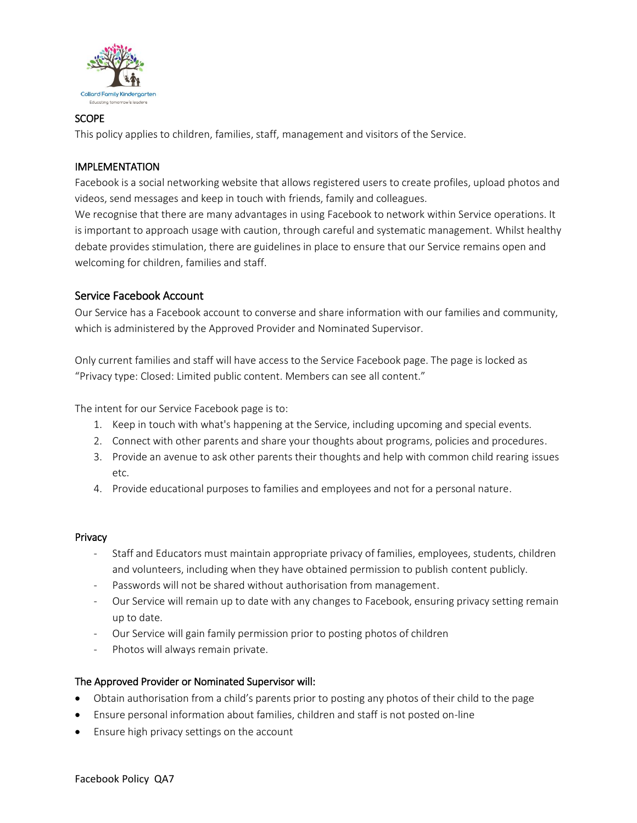

## **SCOPE**

This policy applies to children, families, staff, management and visitors of the Service.

## IMPLEMENTATION

Facebook is a social networking website that allows registered users to create profiles, upload photos and videos, send messages and keep in touch with friends, family and colleagues.

We recognise that there are many advantages in using Facebook to network within Service operations. It is important to approach usage with caution, through careful and systematic management. Whilst healthy debate provides stimulation, there are guidelines in place to ensure that our Service remains open and welcoming for children, families and staff.

# Service Facebook Account

Our Service has a Facebook account to converse and share information with our families and community, which is administered by the Approved Provider and Nominated Supervisor.

Only current families and staff will have access to the Service Facebook page. The page is locked as "Privacy type: Closed: Limited public content. Members can see all content."

The intent for our Service Facebook page is to:

- 1. Keep in touch with what's happening at the Service, including upcoming and special events.
- 2. Connect with other parents and share your thoughts about programs, policies and procedures.
- 3. Provide an avenue to ask other parents their thoughts and help with common child rearing issues etc.
- 4. Provide educational purposes to families and employees and not for a personal nature.

#### Privacy

- Staff and Educators must maintain appropriate privacy of families, employees, students, children and volunteers, including when they have obtained permission to publish content publicly.
- Passwords will not be shared without authorisation from management.
- Our Service will remain up to date with any changes to Facebook, ensuring privacy setting remain up to date.
- Our Service will gain family permission prior to posting photos of children
- Photos will always remain private.

#### The Approved Provider or Nominated Supervisor will:

- Obtain authorisation from a child's parents prior to posting any photos of their child to the page
- Ensure personal information about families, children and staff is not posted on-line
- Ensure high privacy settings on the account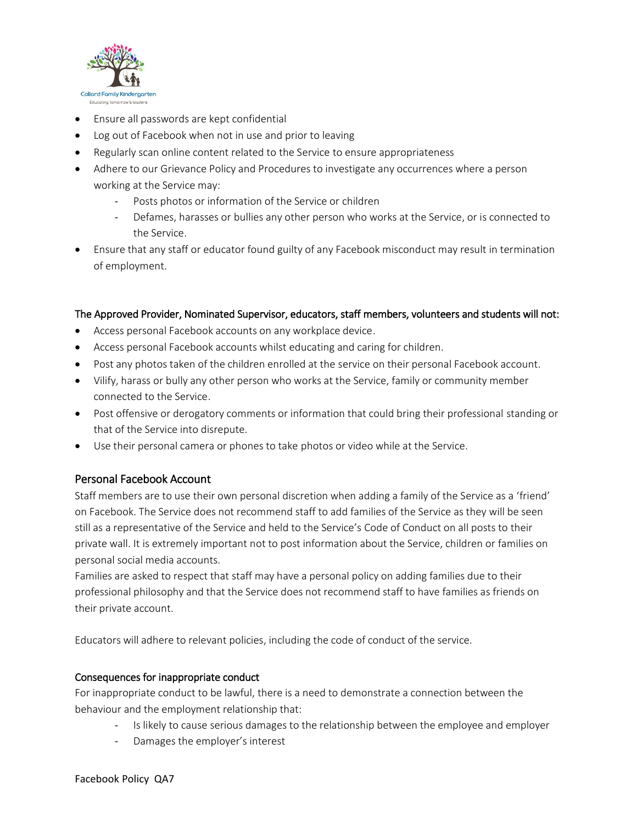

- Ensure all passwords are kept confidential
- Log out of Facebook when not in use and prior to leaving
- Regularly scan online content related to the Service to ensure appropriateness
- Adhere to our Grievance Policy and Procedures to investigate any occurrences where a person working at the Service may:
	- Posts photos or information of the Service or children
	- Defames, harasses or bullies any other person who works at the Service, or is connected to the Service.
- Ensure that any staff or educator found guilty of any Facebook misconduct may result in termination of employment.

## The Approved Provider, Nominated Supervisor, educators, staff members, volunteers and students will not:

- Access personal Facebook accounts on any workplace device.
- Access personal Facebook accounts whilst educating and caring for children.
- Post any photos taken of the children enrolled at the service on their personal Facebook account.
- Vilify, harass or bully any other person who works at the Service, family or community member connected to the Service.
- Post offensive or derogatory comments or information that could bring their professional standing or that of the Service into disrepute.
- Use their personal camera or phones to take photos or video while at the Service.

# Personal Facebook Account

Staff members are to use their own personal discretion when adding a family of the Service as a 'friend' on Facebook. The Service does not recommend staff to add families of the Service as they will be seen still as a representative of the Service and held to the Service's Code of Conduct on all posts to their private wall. It is extremely important not to post information about the Service, children or families on personal social media accounts.

Families are asked to respect that staff may have a personal policy on adding families due to their professional philosophy and that the Service does not recommend staff to have families as friends on their private account.

Educators will adhere to relevant policies, including the code of conduct of the service.

#### Consequences for inappropriate conduct

For inappropriate conduct to be lawful, there is a need to demonstrate a connection between the behaviour and the employment relationship that:

- Is likely to cause serious damages to the relationship between the employee and employer
- Damages the employer's interest